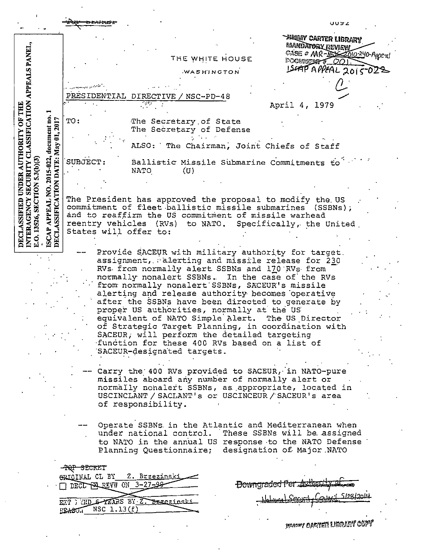|                                                                                                                                                                                                                                                                                                                                                                                                                                      |                                                                                                                                                                                                                                                                                                                                                                        | いいらこ                                                          |
|--------------------------------------------------------------------------------------------------------------------------------------------------------------------------------------------------------------------------------------------------------------------------------------------------------------------------------------------------------------------------------------------------------------------------------------|------------------------------------------------------------------------------------------------------------------------------------------------------------------------------------------------------------------------------------------------------------------------------------------------------------------------------------------------------------------------|---------------------------------------------------------------|
|                                                                                                                                                                                                                                                                                                                                                                                                                                      |                                                                                                                                                                                                                                                                                                                                                                        | <b>HEUNY CARTER LIBRARY</b><br><b>MANDATORY REVIEW</b>        |
|                                                                                                                                                                                                                                                                                                                                                                                                                                      | THE WHITE HOUSE                                                                                                                                                                                                                                                                                                                                                        | CASE # MR-ASSESSIO-240-Appeal<br><b>EXCUSSION # 001</b>       |
|                                                                                                                                                                                                                                                                                                                                                                                                                                      | WASHINGTON                                                                                                                                                                                                                                                                                                                                                             | ISCAP APPEAL 2015-023                                         |
|                                                                                                                                                                                                                                                                                                                                                                                                                                      |                                                                                                                                                                                                                                                                                                                                                                        |                                                               |
|                                                                                                                                                                                                                                                                                                                                                                                                                                      | PRESIDENTIAL<br>$NSC-PD-48$<br>DIRECTIVE                                                                                                                                                                                                                                                                                                                               |                                                               |
|                                                                                                                                                                                                                                                                                                                                                                                                                                      |                                                                                                                                                                                                                                                                                                                                                                        | April 4, 1979                                                 |
| document no.<br>2017                                                                                                                                                                                                                                                                                                                                                                                                                 | TO:<br>The Secretary of State<br>The Secretary of Defense                                                                                                                                                                                                                                                                                                              |                                                               |
|                                                                                                                                                                                                                                                                                                                                                                                                                                      | ALSO: The Chairman, Joint Chiefs of Staff                                                                                                                                                                                                                                                                                                                              |                                                               |
| DATE: May 01,<br>2015-022,<br>5.3 <sub>(b)</sub> (3)                                                                                                                                                                                                                                                                                                                                                                                 | SUBJECT:<br>Ballistic Missile Submarine Commitments to<br>NATO<br>(U)                                                                                                                                                                                                                                                                                                  |                                                               |
|                                                                                                                                                                                                                                                                                                                                                                                                                                      |                                                                                                                                                                                                                                                                                                                                                                        |                                                               |
| NTERAGENCY SECURITY CLASSIFICATION APPEALS PANEL,<br>DECLASSIFIED UNDER AUTHORITY OF THE<br><b>ISCAP APPEAL NO. 2</b><br>DECLASSIFICATION<br>SECTION<br>The President has approved the proposal to modify the US<br>commitment of fleet ballistic missile submarines (SSBNs);<br>and to reaffirm the US commitment of missile warhead<br>13526,<br>reentry vehicles (RVs) to NATO. Specifically, the United<br>States will offer to: |                                                                                                                                                                                                                                                                                                                                                                        |                                                               |
|                                                                                                                                                                                                                                                                                                                                                                                                                                      |                                                                                                                                                                                                                                                                                                                                                                        |                                                               |
|                                                                                                                                                                                                                                                                                                                                                                                                                                      | Provide SACEUR with military authority for target.<br>assignment, alerting and missile release for 230<br>RVs from normally alert SSBNs and 170 RVs from<br>normally nonalert SSBNs. In the case of the RVs<br>from normally nonalert SSBNs, SACEUR's missile<br>alerting and release authority becomes operative<br>after the SSBNs have been directed to generate by |                                                               |
| proper US authorities, normally at the US<br>equivalent of NATO Simple Alert. The US Director<br>of Strategic Target Planning, in coordination with<br>SACEUR, will perform the detailed targeting                                                                                                                                                                                                                                   |                                                                                                                                                                                                                                                                                                                                                                        |                                                               |
|                                                                                                                                                                                                                                                                                                                                                                                                                                      | function for these 400 RVs based on a list of<br>SACEUR-designated targets.                                                                                                                                                                                                                                                                                            |                                                               |
|                                                                                                                                                                                                                                                                                                                                                                                                                                      | Carry the 400 RVs provided to SACEUR, in NATO-pure<br>missiles aboard any number of normally alert or<br>normally nonalert SSBNs, as appropriate, located in<br>USCINCLANT / SACLANT's or USCINCEUR / SACEUR's area<br>of responsibility.                                                                                                                              |                                                               |
|                                                                                                                                                                                                                                                                                                                                                                                                                                      | Operate SSBNs in the Atlantic and Mediterranean when<br>under national control. These SSBNs will be assigned<br>to NATO in the annual US response to the NATO Defense<br>Planning Questionnaire;                                                                                                                                                                       | designation of Major NATO                                     |
|                                                                                                                                                                                                                                                                                                                                                                                                                                      | -TQP SECRET<br>ORICINAL CL BY<br><u> 2. Brzezinski</u>                                                                                                                                                                                                                                                                                                                 |                                                               |
|                                                                                                                                                                                                                                                                                                                                                                                                                                      | DECL PAREVW ON 3-27-99-                                                                                                                                                                                                                                                                                                                                                | Howngraded Per Authority 21<br>. 1 5190 l<br>$\Lambda$ Corner |
|                                                                                                                                                                                                                                                                                                                                                                                                                                      | ETT : TD & TEARS BY Z. Brzezinski<br>$EBASU.$ NSC $1.13(f)$                                                                                                                                                                                                                                                                                                            |                                                               |
|                                                                                                                                                                                                                                                                                                                                                                                                                                      |                                                                                                                                                                                                                                                                                                                                                                        | <b>Sincony Carter Library Copy</b>                            |

 $\epsilon$ 

 $\hat{\mathcal{A}}$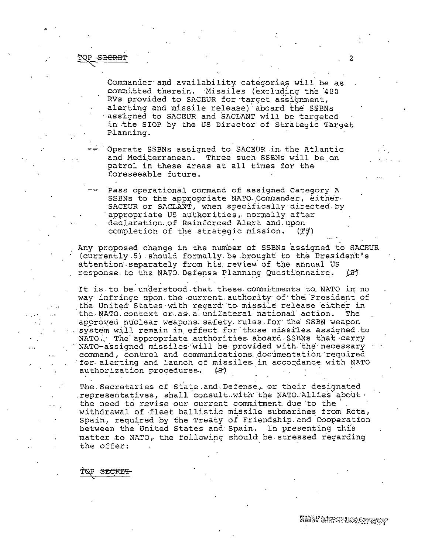## SECRET

Commander and availability categories will be as committed therein. Missiles (excluding the 400 RVs provided to SACEUR for target assignment, alerting and missile release) aboard the SSBNs assigned to SACEUR and SACLANT will be targeted in the SIOP by the US Director of Strategic Target Planning.

Operate SSBNs assigned to SACEUR in the Atlantic and Mediterranean. Three such SSBNs will be on patrol in these areas at all times for the foreseeable future.

Pass operational command of assigned Category A SSBNs to the appropriate NATO Commander, either SACEUR or SACLANT, when specifically directed by appropriate US authorities, normally after declaration of Reinforced Alert and upon completion of the strategic mission.  $(79)$ 

Any proposed change in the number of SSBNs assigned to SACEUR (currently 5) should formally be brought to the President's attention separately from his review of the annual US response to the NATO Defense Planning Questionnaire. ख

It is to be understood that these commitments to NATO in no way infringe upon the current authority of the President of the United States with regard to missile release either in the NATO context or as a unilateral national action. The approved nuclear weapons safety rules for the SSBN weapon system will remain in effect for those missiles assigned to NATO. The appropriate authorities aboard SSBNs that carry NATO-assigned missiles will be provided with the necessary command, control and communications documentation required for alerting and launch of missiles in accordance with NATO authorization procedures. 131

The Secretaries of State and Defense, or their designated representatives, shall consult with the NATO Allies about. the need to revise our current commitment due to the withdrawal of fleet ballistic missile submarines from Rota, Spain, required by the Treaty of Friendship and Cooperation between the United States and Spain. In presenting this matter to NATO, the following should be stressed regarding the offer:

SECRET